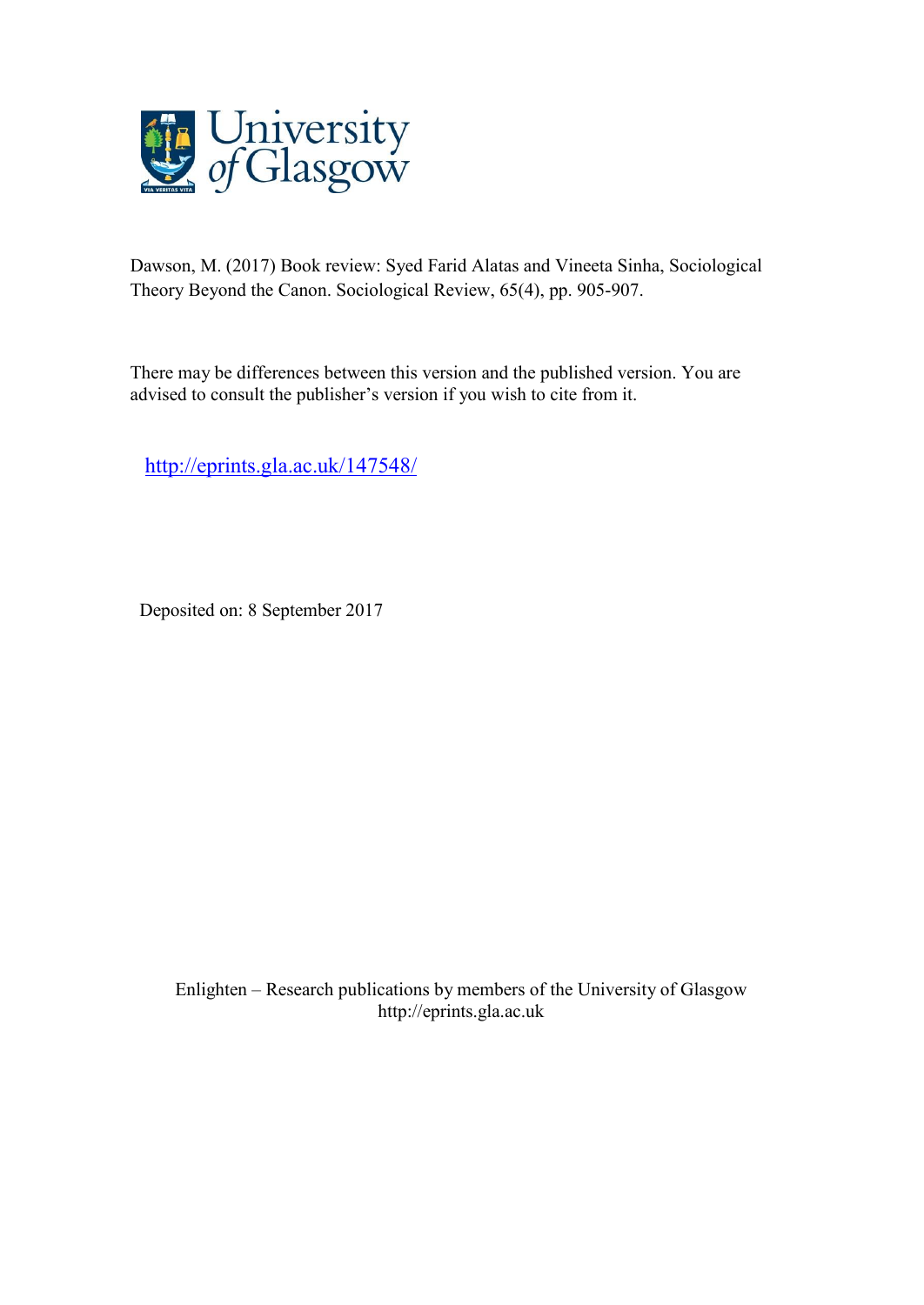

Dawson, M. (2017) Book review: Syed Farid Alatas and Vineeta Sinha, Sociological Theory Beyond the Canon. Sociological Review, 65(4), pp. 905-907.

There may be differences between this version and the published version. You are advised to consult the publisher's version if you wish to cite from it.

<http://eprints.gla.ac.uk/147548/>

Deposited on: 8 September 2017

Enlighten – Research publications by members of the University of Glasgo[w](http://eprints.gla.ac.uk/) [http://eprints.gla.ac.uk](http://eprints.gla.ac.uk/)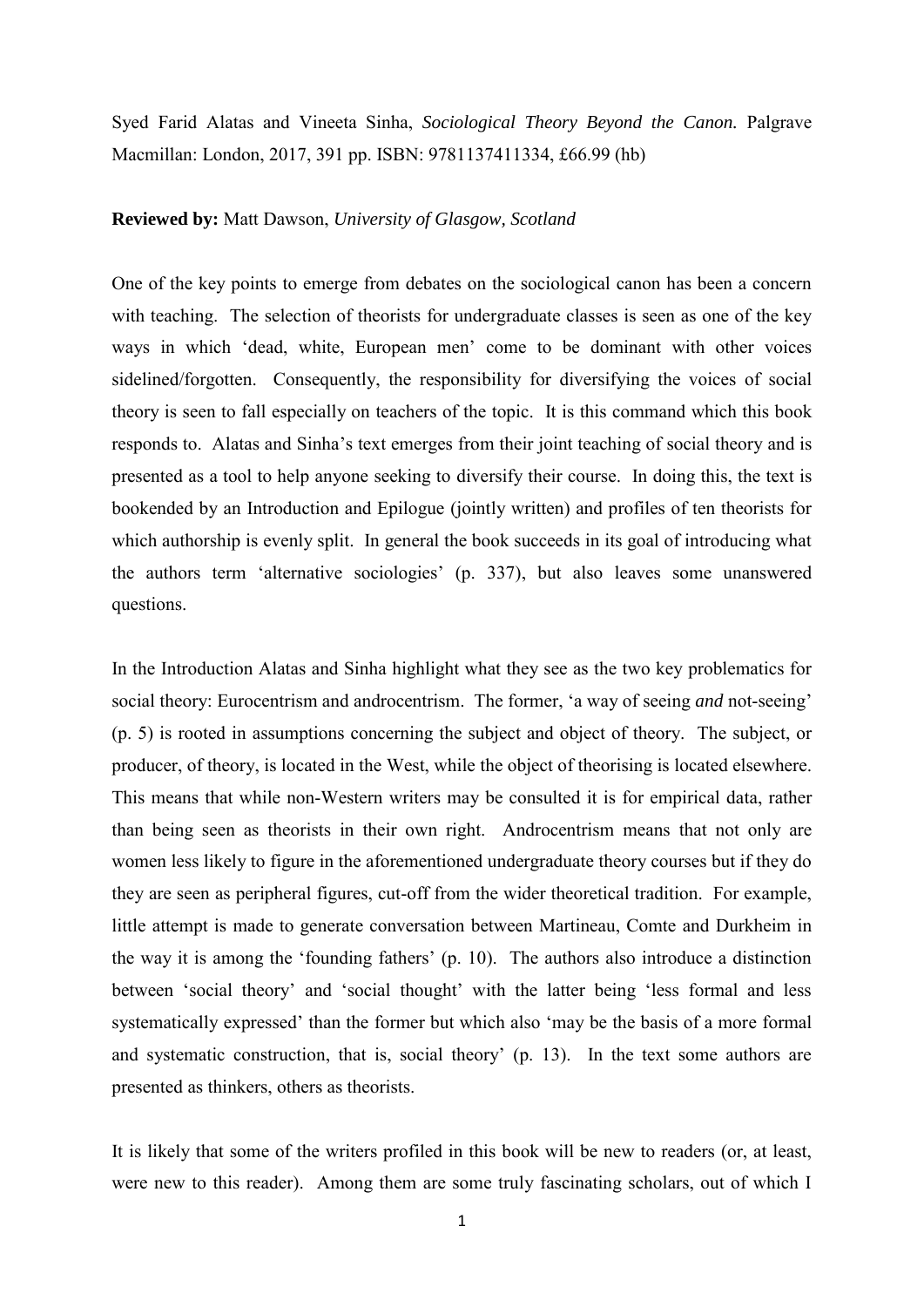Syed Farid Alatas and Vineeta Sinha, *Sociological Theory Beyond the Canon.* Palgrave Macmillan: London, 2017, 391 pp. ISBN: 9781137411334, £66.99 (hb)

## **Reviewed by:** Matt Dawson, *University of Glasgow, Scotland*

One of the key points to emerge from debates on the sociological canon has been a concern with teaching. The selection of theorists for undergraduate classes is seen as one of the key ways in which 'dead, white, European men' come to be dominant with other voices sidelined/forgotten. Consequently, the responsibility for diversifying the voices of social theory is seen to fall especially on teachers of the topic. It is this command which this book responds to. Alatas and Sinha's text emerges from their joint teaching of social theory and is presented as a tool to help anyone seeking to diversify their course. In doing this, the text is bookended by an Introduction and Epilogue (jointly written) and profiles of ten theorists for which authorship is evenly split. In general the book succeeds in its goal of introducing what the authors term 'alternative sociologies' (p. 337), but also leaves some unanswered questions.

In the Introduction Alatas and Sinha highlight what they see as the two key problematics for social theory: Eurocentrism and androcentrism. The former, 'a way of seeing *and* not-seeing' (p. 5) is rooted in assumptions concerning the subject and object of theory. The subject, or producer, of theory, is located in the West, while the object of theorising is located elsewhere. This means that while non-Western writers may be consulted it is for empirical data, rather than being seen as theorists in their own right. Androcentrism means that not only are women less likely to figure in the aforementioned undergraduate theory courses but if they do they are seen as peripheral figures, cut-off from the wider theoretical tradition. For example, little attempt is made to generate conversation between Martineau, Comte and Durkheim in the way it is among the 'founding fathers' (p. 10). The authors also introduce a distinction between 'social theory' and 'social thought' with the latter being 'less formal and less systematically expressed' than the former but which also 'may be the basis of a more formal and systematic construction, that is, social theory' (p. 13). In the text some authors are presented as thinkers, others as theorists.

It is likely that some of the writers profiled in this book will be new to readers (or, at least, were new to this reader). Among them are some truly fascinating scholars, out of which I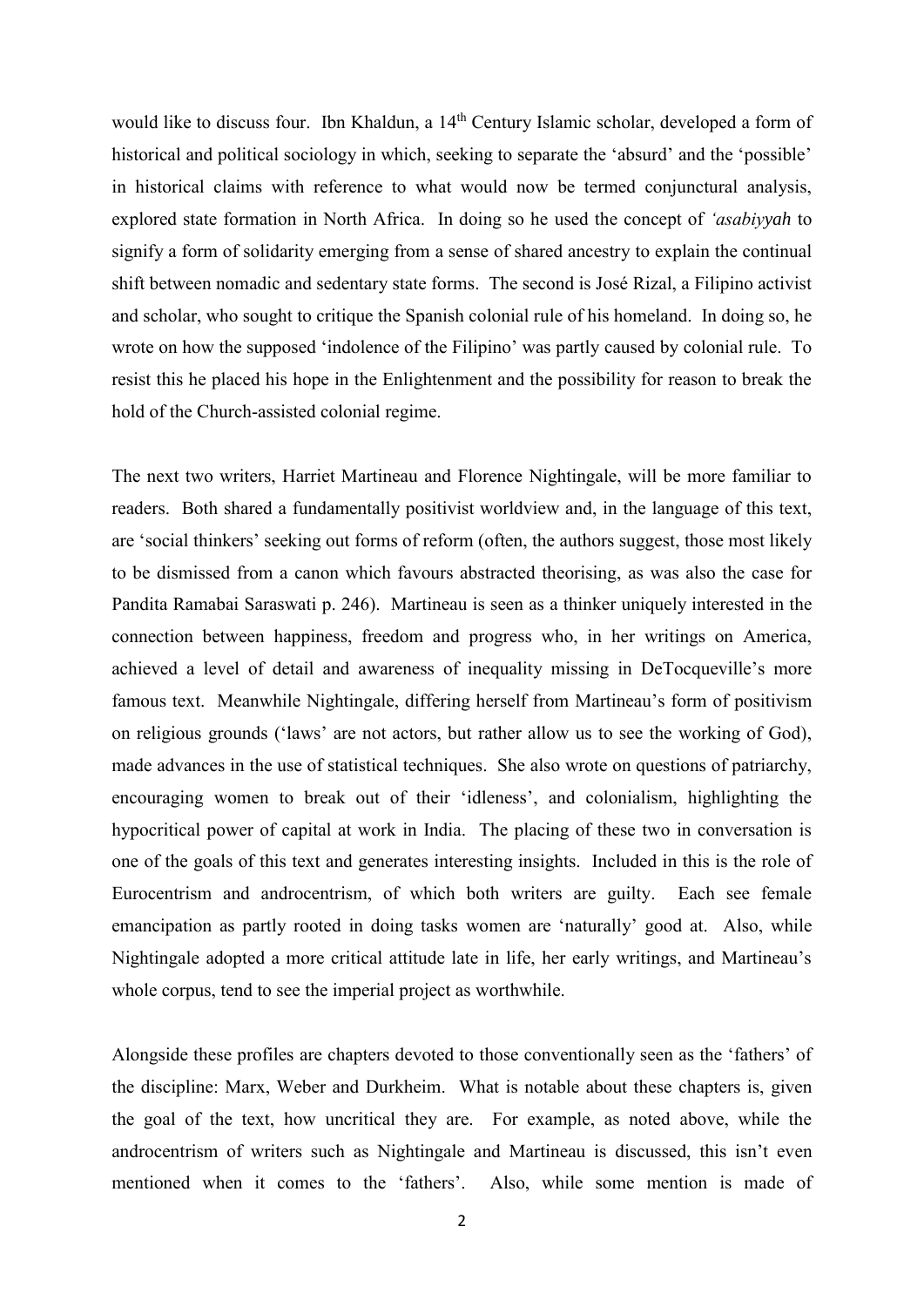would like to discuss four. Ibn Khaldun, a 14<sup>th</sup> Century Islamic scholar, developed a form of historical and political sociology in which, seeking to separate the 'absurd' and the 'possible' in historical claims with reference to what would now be termed conjunctural analysis, explored state formation in North Africa. In doing so he used the concept of *'asabiyyah* to signify a form of solidarity emerging from a sense of shared ancestry to explain the continual shift between nomadic and sedentary state forms. The second is José Rizal, a Filipino activist and scholar, who sought to critique the Spanish colonial rule of his homeland. In doing so, he wrote on how the supposed 'indolence of the Filipino' was partly caused by colonial rule. To resist this he placed his hope in the Enlightenment and the possibility for reason to break the hold of the Church-assisted colonial regime.

The next two writers, Harriet Martineau and Florence Nightingale, will be more familiar to readers. Both shared a fundamentally positivist worldview and, in the language of this text, are 'social thinkers' seeking out forms of reform (often, the authors suggest, those most likely to be dismissed from a canon which favours abstracted theorising, as was also the case for Pandita Ramabai Saraswati p. 246). Martineau is seen as a thinker uniquely interested in the connection between happiness, freedom and progress who, in her writings on America, achieved a level of detail and awareness of inequality missing in DeTocqueville's more famous text. Meanwhile Nightingale, differing herself from Martineau's form of positivism on religious grounds ('laws' are not actors, but rather allow us to see the working of God), made advances in the use of statistical techniques. She also wrote on questions of patriarchy, encouraging women to break out of their 'idleness', and colonialism, highlighting the hypocritical power of capital at work in India. The placing of these two in conversation is one of the goals of this text and generates interesting insights. Included in this is the role of Eurocentrism and androcentrism, of which both writers are guilty. Each see female emancipation as partly rooted in doing tasks women are 'naturally' good at. Also, while Nightingale adopted a more critical attitude late in life, her early writings, and Martineau's whole corpus, tend to see the imperial project as worthwhile.

Alongside these profiles are chapters devoted to those conventionally seen as the 'fathers' of the discipline: Marx, Weber and Durkheim. What is notable about these chapters is, given the goal of the text, how uncritical they are. For example, as noted above, while the androcentrism of writers such as Nightingale and Martineau is discussed, this isn't even mentioned when it comes to the 'fathers'. Also, while some mention is made of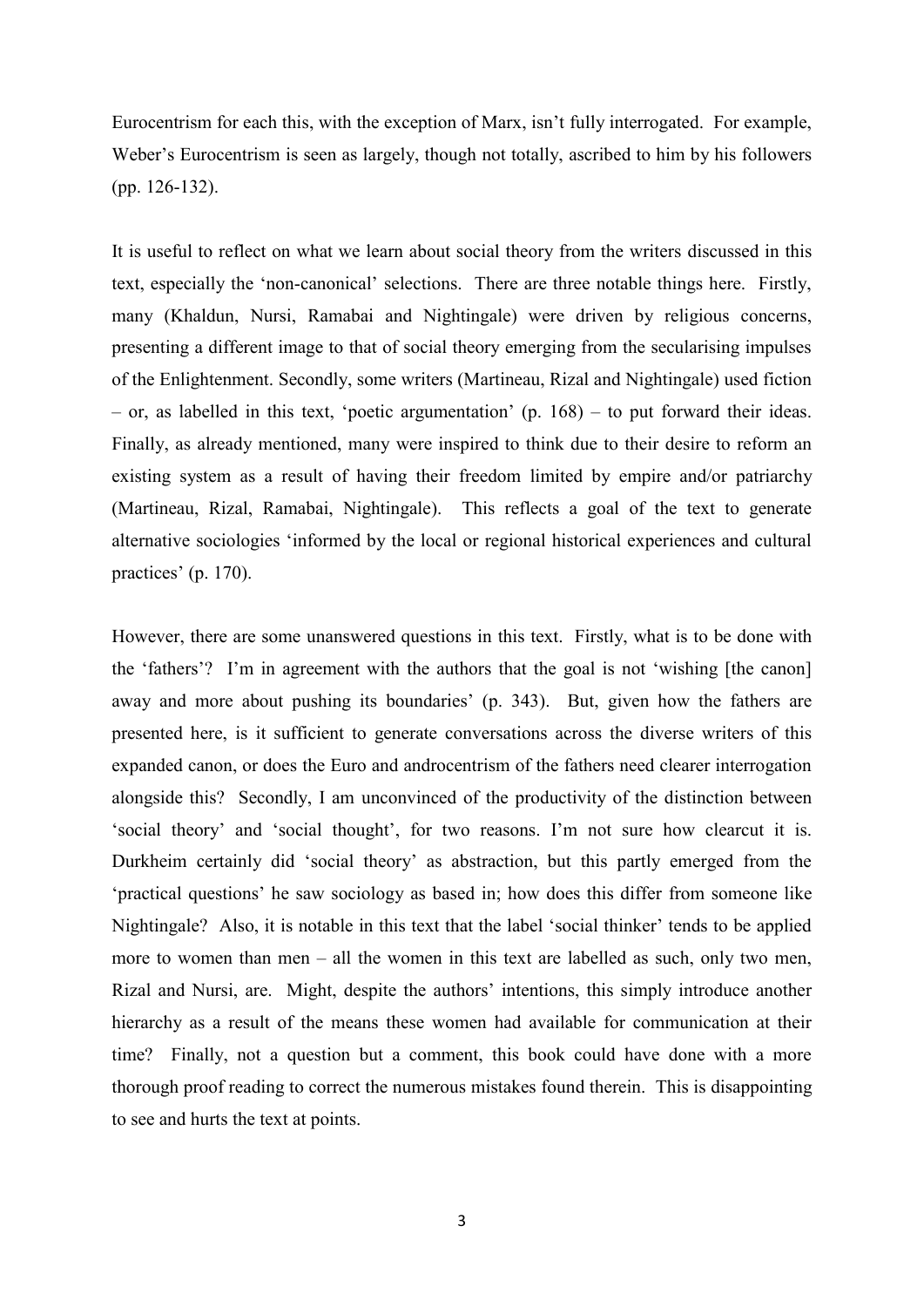Eurocentrism for each this, with the exception of Marx, isn't fully interrogated. For example, Weber's Eurocentrism is seen as largely, though not totally, ascribed to him by his followers (pp. 126-132).

It is useful to reflect on what we learn about social theory from the writers discussed in this text, especially the 'non-canonical' selections. There are three notable things here. Firstly, many (Khaldun, Nursi, Ramabai and Nightingale) were driven by religious concerns, presenting a different image to that of social theory emerging from the secularising impulses of the Enlightenment. Secondly, some writers (Martineau, Rizal and Nightingale) used fiction – or, as labelled in this text, 'poetic argumentation' (p. 168) – to put forward their ideas. Finally, as already mentioned, many were inspired to think due to their desire to reform an existing system as a result of having their freedom limited by empire and/or patriarchy (Martineau, Rizal, Ramabai, Nightingale). This reflects a goal of the text to generate alternative sociologies 'informed by the local or regional historical experiences and cultural practices' (p. 170).

However, there are some unanswered questions in this text. Firstly, what is to be done with the 'fathers'? I'm in agreement with the authors that the goal is not 'wishing [the canon] away and more about pushing its boundaries' (p. 343). But, given how the fathers are presented here, is it sufficient to generate conversations across the diverse writers of this expanded canon, or does the Euro and androcentrism of the fathers need clearer interrogation alongside this? Secondly, I am unconvinced of the productivity of the distinction between 'social theory' and 'social thought', for two reasons. I'm not sure how clearcut it is. Durkheim certainly did 'social theory' as abstraction, but this partly emerged from the 'practical questions' he saw sociology as based in; how does this differ from someone like Nightingale? Also, it is notable in this text that the label 'social thinker' tends to be applied more to women than men – all the women in this text are labelled as such, only two men, Rizal and Nursi, are. Might, despite the authors' intentions, this simply introduce another hierarchy as a result of the means these women had available for communication at their time? Finally, not a question but a comment, this book could have done with a more thorough proof reading to correct the numerous mistakes found therein. This is disappointing to see and hurts the text at points.